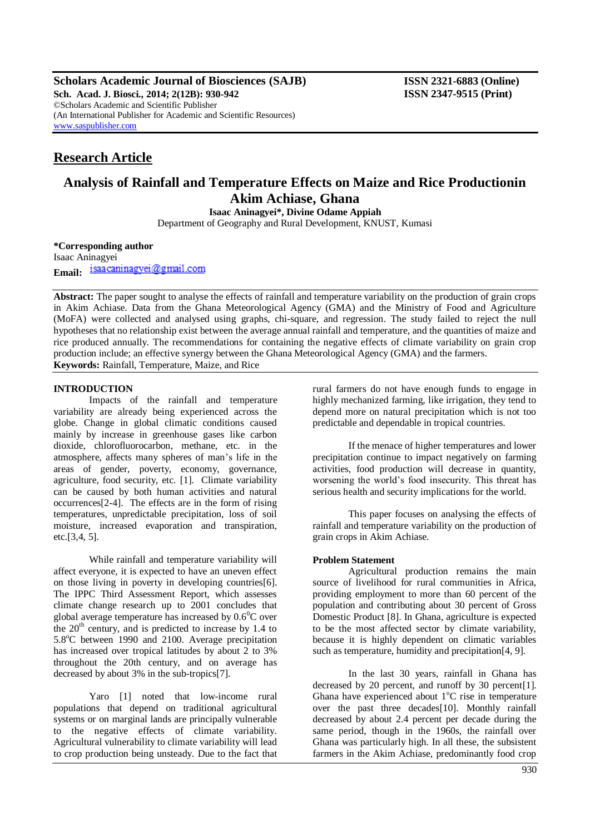**Scholars Academic Journal of Biosciences (SAJB) ISSN 2321-6883 (Online) Sch. Acad. J. Biosci., 2014; 2(12B): 930-942 ISSN 2347-9515 (Print)** ©Scholars Academic and Scientific Publisher (An International Publisher for Academic and Scientific Resources) [www.saspublisher.com](http://www.saspublisher.com/)

# **Research Article**

# **Analysis of Rainfall and Temperature Effects on Maize and Rice Productionin Akim Achiase, Ghana**

**Isaac Aninagyei\*, Divine Odame Appiah**

Department of Geography and Rural Development, KNUST, Kumasi

**\*Corresponding author** Isaac Aninagyei

Email: isaacaninagyei@gmail.com

**Abstract:** The paper sought to analyse the effects of rainfall and temperature variability on the production of grain crops in Akim Achiase. Data from the Ghana Meteorological Agency (GMA) and the Ministry of Food and Agriculture (MoFA) were collected and analysed using graphs, chi-square, and regression. The study failed to reject the null hypotheses that no relationship exist between the average annual rainfall and temperature, and the quantities of maize and rice produced annually. The recommendations for containing the negative effects of climate variability on grain crop production include; an effective synergy between the Ghana Meteorological Agency (GMA) and the farmers. **Keywords:** Rainfall, Temperature, Maize, and Rice

### **INTRODUCTION**

Impacts of the rainfall and temperature variability are already being experienced across the globe. Change in global climatic conditions caused mainly by increase in greenhouse gases like carbon dioxide, chlorofluorocarbon, methane, etc. in the atmosphere, affects many spheres of man's life in the areas of gender, poverty, economy, governance, agriculture, food security, etc. [1]. Climate variability can be caused by both human activities and natural occurrences[2-4]. The effects are in the form of rising temperatures, unpredictable precipitation, loss of soil moisture, increased evaporation and transpiration, etc.[3,4, 5].

While rainfall and temperature variability will affect everyone, it is expected to have an uneven effect on those living in poverty in developing countries[6]. The IPPC Third Assessment Report, which assesses climate change research up to 2001 concludes that global average temperature has increased by  $0.6^{\circ}$ C over the  $20<sup>th</sup>$  century, and is predicted to increase by 1.4 to 5.8<sup>o</sup>C between 1990 and 2100. Average precipitation has increased over tropical latitudes by about 2 to 3% throughout the 20th century, and on average has decreased by about 3% in the sub-tropics[7].

Yaro [1] noted that low-income rural populations that depend on traditional agricultural systems or on marginal lands are principally vulnerable to the negative effects of climate variability. Agricultural vulnerability to climate variability will lead to crop production being unsteady. Due to the fact that

rural farmers do not have enough funds to engage in highly mechanized farming, like irrigation, they tend to depend more on natural precipitation which is not too predictable and dependable in tropical countries.

If the menace of higher temperatures and lower precipitation continue to impact negatively on farming activities, food production will decrease in quantity, worsening the world's food insecurity. This threat has serious health and security implications for the world.

This paper focuses on analysing the effects of rainfall and temperature variability on the production of grain crops in Akim Achiase.

#### **Problem Statement**

Agricultural production remains the main source of livelihood for rural communities in Africa, providing employment to more than 60 percent of the population and contributing about 30 percent of Gross Domestic Product [8]. In Ghana, agriculture is expected to be the most affected sector by climate variability, because it is highly dependent on climatic variables such as temperature, humidity and precipitation<sup>[4, 9]</sup>.

In the last 30 years, rainfall in Ghana has decreased by 20 percent, and runoff by 30 percent[1]. Ghana have experienced about  $1^{\circ}$ C rise in temperature over the past three decades[10]. Monthly rainfall decreased by about 2.4 percent per decade during the same period, though in the 1960s, the rainfall over Ghana was particularly high. In all these, the subsistent farmers in the Akim Achiase, predominantly food crop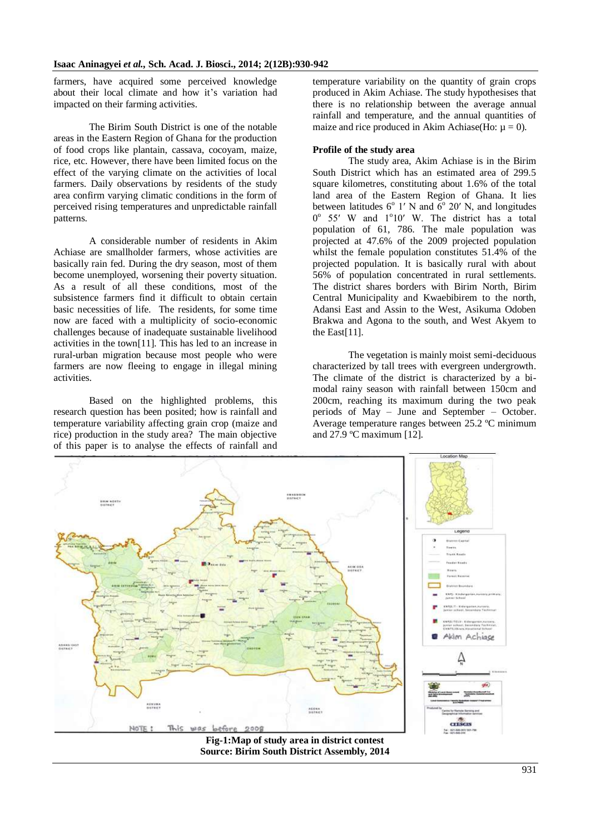farmers, have acquired some perceived knowledge about their local climate and how it's variation had impacted on their farming activities.

The Birim South District is one of the notable areas in the Eastern Region of Ghana for the production of food crops like plantain, cassava, cocoyam, maize, rice, etc. However, there have been limited focus on the effect of the varying climate on the activities of local farmers. Daily observations by residents of the study area confirm varying climatic conditions in the form of perceived rising temperatures and unpredictable rainfall patterns.

A considerable number of residents in Akim Achiase are smallholder farmers, whose activities are basically rain fed. During the dry season, most of them become unemployed, worsening their poverty situation. As a result of all these conditions, most of the subsistence farmers find it difficult to obtain certain basic necessities of life. The residents, for some time now are faced with a multiplicity of socio-economic challenges because of inadequate sustainable livelihood activities in the town[11]. This has led to an increase in rural-urban migration because most people who were farmers are now fleeing to engage in illegal mining activities.

Based on the highlighted problems, this research question has been posited; how is rainfall and temperature variability affecting grain crop (maize and rice) production in the study area? The main objective of this paper is to analyse the effects of rainfall and temperature variability on the quantity of grain crops produced in Akim Achiase. The study hypothesises that there is no relationship between the average annual rainfall and temperature, and the annual quantities of maize and rice produced in Akim Achiase(Ho:  $\mu = 0$ ).

#### **Profile of the study area**

The study area, Akim Achiase is in the Birim South District which has an estimated area of 299.5 square kilometres, constituting about 1.6% of the total land area of the Eastern Region of Ghana. It lies between latitudes  $6^{\circ}$  1' N and  $6^{\circ}$  20' N, and longitudes 0° 55' W and 1°10' W. The district has a total population of 61, 786. The male population was projected at 47.6% of the 2009 projected population whilst the female population constitutes 51.4% of the projected population. It is basically rural with about 56% of population concentrated in rural settlements. The district shares borders with Birim North, Birim Central Municipality and Kwaebibirem to the north, Adansi East and Assin to the West, Asikuma Odoben Brakwa and Agona to the south, and West Akyem to the East[11].

The vegetation is mainly moist semi-deciduous characterized by tall trees with evergreen undergrowth. The climate of the district is characterized by a bimodal rainy season with rainfall between 150cm and 200cm, reaching its maximum during the two peak periods of May – June and September – October. Average temperature ranges between 25.2 ºC minimum and 27.9 ºC maximum [12].



**Source: Birim South District Assembly, 2014**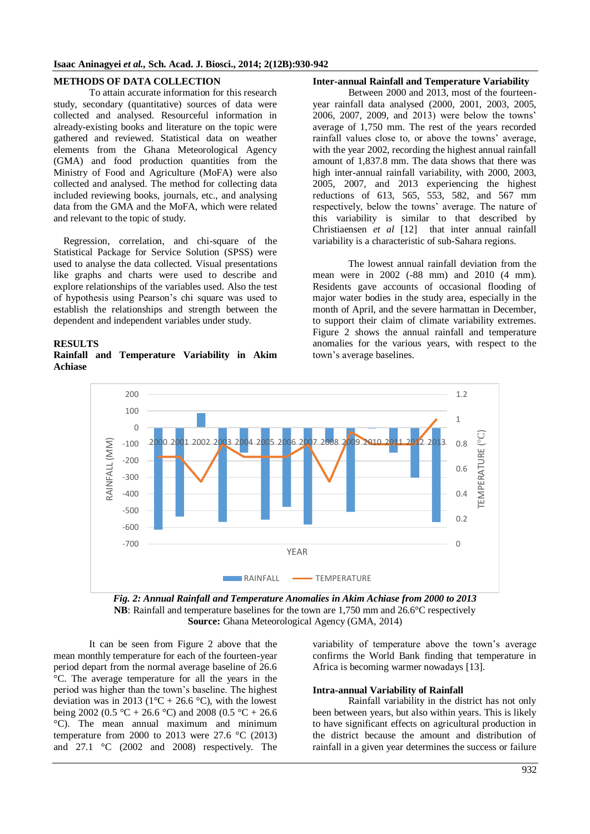### **METHODS OF DATA COLLECTION**

To attain accurate information for this research study, secondary (quantitative) sources of data were collected and analysed. Resourceful information in already-existing books and literature on the topic were gathered and reviewed. Statistical data on weather elements from the Ghana Meteorological Agency (GMA) and food production quantities from the Ministry of Food and Agriculture (MoFA) were also collected and analysed. The method for collecting data included reviewing books, journals, etc., and analysing data from the GMA and the MoFA, which were related and relevant to the topic of study.

Regression, correlation, and chi-square of the Statistical Package for Service Solution (SPSS) were used to analyse the data collected. Visual presentations like graphs and charts were used to describe and explore relationships of the variables used. Also the test of hypothesis using Pearson's chi square was used to establish the relationships and strength between the dependent and independent variables under study.

### **RESULTS**

**Rainfall and Temperature Variability in Akim Achiase**

#### **Inter-annual Rainfall and Temperature Variability**

Between 2000 and 2013, most of the fourteenyear rainfall data analysed (2000, 2001, 2003, 2005, 2006, 2007, 2009, and 2013) were below the towns' average of 1,750 mm. The rest of the years recorded rainfall values close to, or above the towns' average, with the year 2002, recording the highest annual rainfall amount of 1,837.8 mm. The data shows that there was high inter-annual rainfall variability, with 2000, 2003, 2005, 2007, and 2013 experiencing the highest reductions of 613, 565, 553, 582, and 567 mm respectively, below the towns' average. The nature of this variability is similar to that described by Christiaensen *et al* [12] that inter annual rainfall variability is a characteristic of sub-Sahara regions.

The lowest annual rainfall deviation from the mean were in 2002 (-88 mm) and 2010 (4 mm). Residents gave accounts of occasional flooding of major water bodies in the study area, especially in the month of April, and the severe harmattan in December, to support their claim of climate variability extremes. Figure 2 shows the annual rainfall and temperature anomalies for the various years, with respect to the town's average baselines.



*Fig. 2: Annual Rainfall and Temperature Anomalies in Akim Achiase from 2000 to 2013* **NB**: Rainfall and temperature baselines for the town are 1,750 mm and 26.6°C respectively **Source:** Ghana Meteorological Agency (GMA, 2014)

It can be seen from Figure 2 above that the mean monthly temperature for each of the fourteen-year period depart from the normal average baseline of 26.6 °C. The average temperature for all the years in the period was higher than the town's baseline. The highest deviation was in 2013 ( $1^{\circ}$ C + 26.6  $^{\circ}$ C), with the lowest being 2002 (0.5 °C + 26.6 °C) and 2008 (0.5 °C + 26.6 °C). The mean annual maximum and minimum temperature from 2000 to 2013 were  $27.6 \text{ °C}$  (2013) and 27.1 °C (2002 and 2008) respectively. The

variability of temperature above the town's average confirms the World Bank finding that temperature in Africa is becoming warmer nowadays [13].

#### **Intra-annual Variability of Rainfall**

Rainfall variability in the district has not only been between years, but also within years. This is likely to have significant effects on agricultural production in the district because the amount and distribution of rainfall in a given year determines the success or failure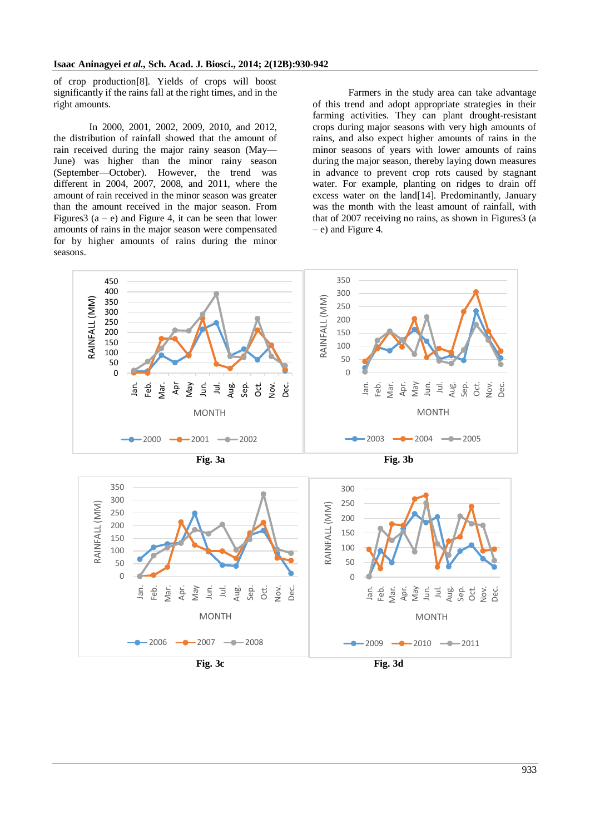of crop production[8]. Yields of crops will boost significantly if the rains fall at the right times, and in the right amounts.

In 2000, 2001, 2002, 2009, 2010, and 2012, the distribution of rainfall showed that the amount of rain received during the major rainy season (May— June) was higher than the minor rainy season (September—October). However, the trend was different in 2004, 2007, 2008, and 2011, where the amount of rain received in the minor season was greater than the amount received in the major season. From Figures  $3(a - e)$  and Figure 4, it can be seen that lower amounts of rains in the major season were compensated for by higher amounts of rains during the minor seasons.

Farmers in the study area can take advantage of this trend and adopt appropriate strategies in their farming activities. They can plant drought-resistant crops during major seasons with very high amounts of rains, and also expect higher amounts of rains in the minor seasons of years with lower amounts of rains during the major season, thereby laying down measures in advance to prevent crop rots caused by stagnant water. For example, planting on ridges to drain off excess water on the land[14]. Predominantly, January was the month with the least amount of rainfall, with that of 2007 receiving no rains, as shown in Figures3 (a – e) and Figure 4.



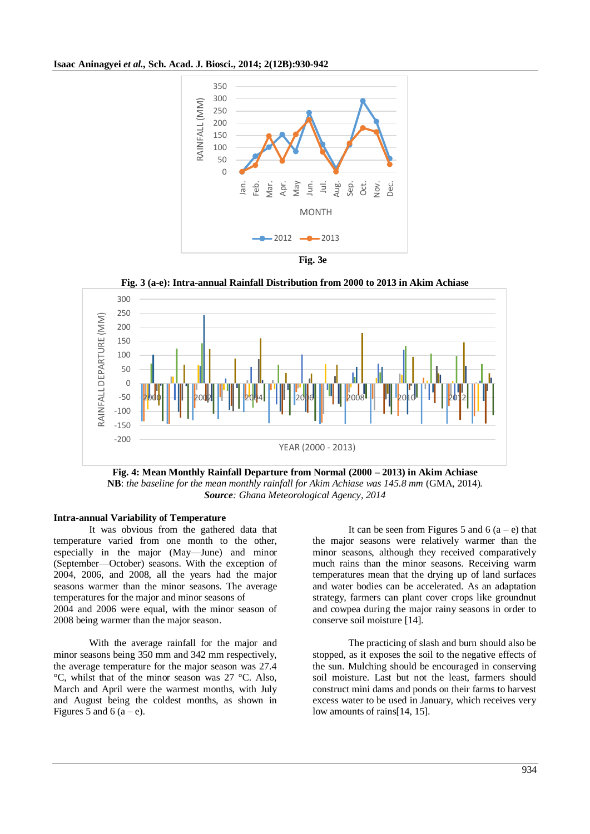**Isaac Aninagyei** *et al.,* **Sch. Acad. J. Biosci., 2014; 2(12B):930-942**



**Fig. 3 (a-e): Intra-annual Rainfall Distribution from 2000 to 2013 in Akim Achiase**



**Fig. 4: Mean Monthly Rainfall Departure from Normal (2000 – 2013) in Akim Achiase NB**: *the baseline for the mean monthly rainfall for Akim Achiase was 145.8 mm* (GMA, 2014)*. Source: Ghana Meteorological Agency, 2014*

#### **Intra-annual Variability of Temperature**

It was obvious from the gathered data that temperature varied from one month to the other, especially in the major (May—June) and minor (September—October) seasons. With the exception of 2004, 2006, and 2008, all the years had the major seasons warmer than the minor seasons. The average temperatures for the major and minor seasons of

2004 and 2006 were equal, with the minor season of 2008 being warmer than the major season.

With the average rainfall for the major and minor seasons being 350 mm and 342 mm respectively, the average temperature for the major season was 27.4 °C, whilst that of the minor season was 27 °C. Also, March and April were the warmest months, with July and August being the coldest months, as shown in Figures 5 and 6 (a – e).

It can be seen from Figures 5 and 6  $(a - e)$  that the major seasons were relatively warmer than the minor seasons, although they received comparatively much rains than the minor seasons. Receiving warm temperatures mean that the drying up of land surfaces and water bodies can be accelerated. As an adaptation strategy, farmers can plant cover crops like groundnut and cowpea during the major rainy seasons in order to conserve soil moisture [14].

The practicing of slash and burn should also be stopped, as it exposes the soil to the negative effects of the sun. Mulching should be encouraged in conserving soil moisture. Last but not the least, farmers should construct mini dams and ponds on their farms to harvest excess water to be used in January, which receives very low amounts of rains[14, 15].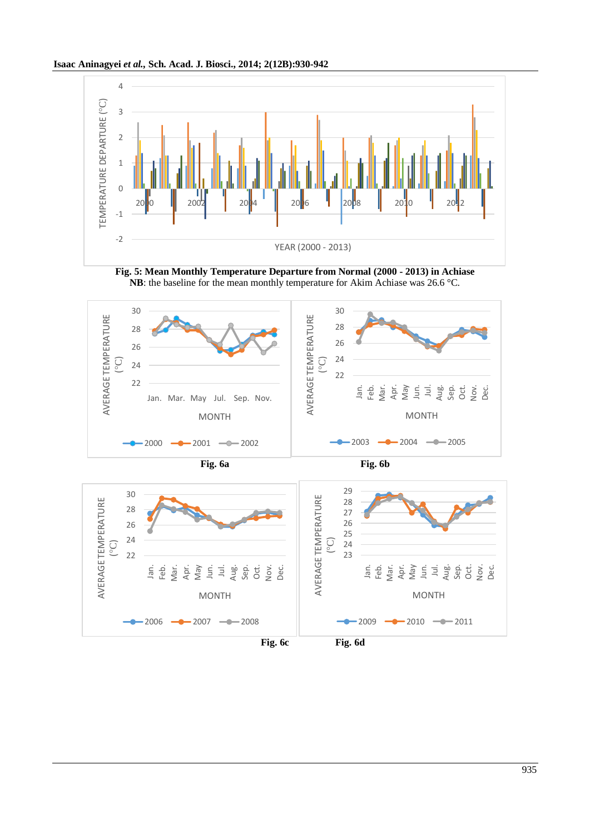







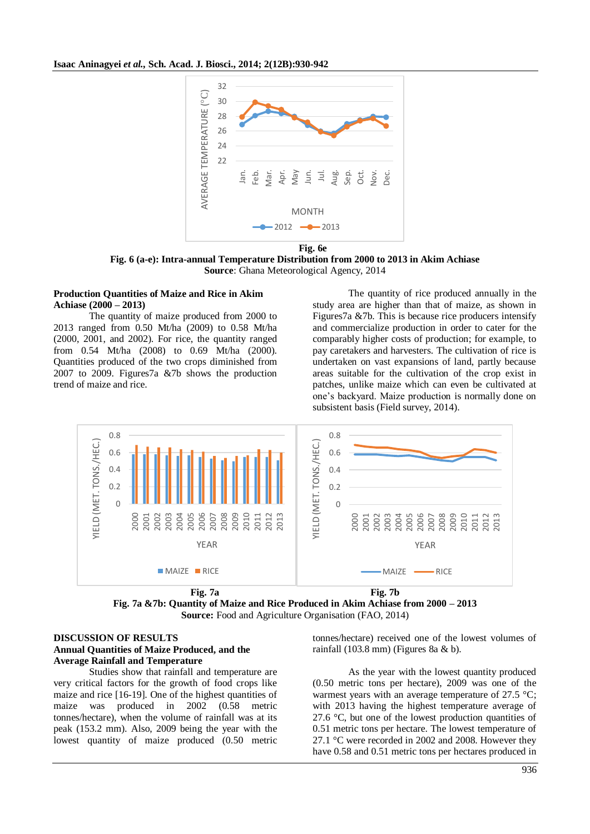

**Fig. 6 (a-e): Intra-annual Temperature Distribution from 2000 to 2013 in Akim Achiase Source**: Ghana Meteorological Agency, 2014

#### **Production Quantities of Maize and Rice in Akim Achiase (2000 – 2013)**

The quantity of maize produced from 2000 to 2013 ranged from 0.50 Mt/ha (2009) to 0.58 Mt/ha (2000, 2001, and 2002). For rice, the quantity ranged from 0.54 Mt/ha (2008) to 0.69 Mt/ha (2000). Quantities produced of the two crops diminished from 2007 to 2009. Figures7a &7b shows the production trend of maize and rice.

The quantity of rice produced annually in the study area are higher than that of maize, as shown in Figures7a &7b. This is because rice producers intensify and commercialize production in order to cater for the comparably higher costs of production; for example, to pay caretakers and harvesters. The cultivation of rice is undertaken on vast expansions of land, partly because areas suitable for the cultivation of the crop exist in patches, unlike maize which can even be cultivated at one's backyard. Maize production is normally done on subsistent basis (Field survey, 2014).





#### **DISCUSSION OF RESULTS Annual Quantities of Maize Produced, and the Average Rainfall and Temperature**

Studies show that rainfall and temperature are very critical factors for the growth of food crops like maize and rice [16-19]. One of the highest quantities of maize was produced in 2002 (0.58 metric tonnes/hectare), when the volume of rainfall was at its peak (153.2 mm). Also, 2009 being the year with the lowest quantity of maize produced (0.50 metric

tonnes/hectare) received one of the lowest volumes of rainfall (103.8 mm) (Figures 8a & b).

As the year with the lowest quantity produced (0.50 metric tons per hectare), 2009 was one of the warmest years with an average temperature of 27.5 °C; with 2013 having the highest temperature average of 27.6 °C, but one of the lowest production quantities of 0.51 metric tons per hectare. The lowest temperature of 27.1 °C were recorded in 2002 and 2008. However they have 0.58 and 0.51 metric tons per hectares produced in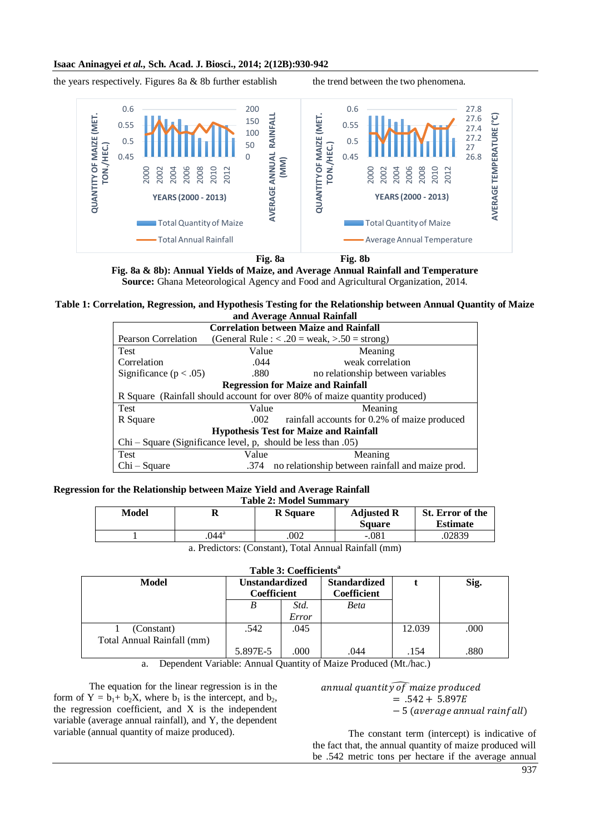#### **Isaac Aninagyei** *et al.,* **Sch. Acad. J. Biosci., 2014; 2(12B):930-942**

the years respectively. Figures 8a  $\&$  8b further establish the trend between the two phenomena.



**Fig. 8a Fig. 8b**

**Fig. 8a & 8b): Annual Yields of Maize, and Average Annual Rainfall and Temperature Source:** Ghana Meteorological Agency and Food and Agricultural Organization, 2014.

**Table 1: Correlation, Regression, and Hypothesis Testing for the Relationship between Annual Quantity of Maize and Average Annual Rainfall**

| <b>Correlation between Maize and Rainfall</b>                 |                                                                            |                                                                    |  |  |  |
|---------------------------------------------------------------|----------------------------------------------------------------------------|--------------------------------------------------------------------|--|--|--|
| Pearson Correlation                                           |                                                                            | (General Rule : $\langle .20 = \text{weak}, \rangle$ .50 = strong) |  |  |  |
| <b>Test</b>                                                   | Value                                                                      | Meaning                                                            |  |  |  |
| Correlation                                                   | .044                                                                       | weak correlation                                                   |  |  |  |
| Significance $(p < .05)$                                      | .880                                                                       | no relationship between variables                                  |  |  |  |
| <b>Regression for Maize and Rainfall</b>                      |                                                                            |                                                                    |  |  |  |
|                                                               | R Square (Rainfall should account for over 80% of maize quantity produced) |                                                                    |  |  |  |
| <b>Test</b>                                                   | Value                                                                      | Meaning                                                            |  |  |  |
| R Square                                                      | .002                                                                       | rainfall accounts for 0.2% of maize produced                       |  |  |  |
| <b>Hypothesis Test for Maize and Rainfall</b>                 |                                                                            |                                                                    |  |  |  |
| $Chi-Square$ (Significance level, p, should be less than .05) |                                                                            |                                                                    |  |  |  |
| Test                                                          | Value                                                                      | Meaning                                                            |  |  |  |
| Chi – Square                                                  |                                                                            | .374 no relationship between rainfall and maize prod.              |  |  |  |

#### **Regression for the Relationship between Maize Yield and Average Rainfall** Table 2: Model Sum

| Table 2; Model Summary                                      |               |                 |                                    |                                     |  |
|-------------------------------------------------------------|---------------|-----------------|------------------------------------|-------------------------------------|--|
| Model                                                       | R             | <b>R</b> Square | <b>Adjusted R</b><br><b>Square</b> | St. Error of the<br><b>Estimate</b> |  |
|                                                             | $044^{\rm a}$ | 002             | $-.081$                            | .02839                              |  |
| $\sim$ Die Betall, $(Quantum)$ Tatel Annual Deinfell $(mn)$ |               |                 |                                    |                                     |  |

a. Predictors: (Constant), Total Annual Rainfall (mm)

**Table 3: Coefficients<sup>a</sup>**

| <b>Model</b>               | <b>Unstandardized</b> |       | <b>Standardized</b> |        | Sig. |
|----------------------------|-----------------------|-------|---------------------|--------|------|
|                            | Coefficient           |       | Coefficient         |        |      |
|                            | B                     | Std.  | Beta                |        |      |
|                            |                       | Error |                     |        |      |
| (Constant)                 | .542                  | .045  |                     | 12.039 | .000 |
| Total Annual Rainfall (mm) |                       |       |                     |        |      |
|                            | 5.897E-5              | .000  | .044                | .154   | .880 |

a. Dependent Variable: Annual Quantity of Maize Produced (Mt./hac.)

The equation for the linear regression is in the form of  $Y = b_1 + b_2X$ , where  $b_1$  is the intercept, and  $b_2$ , the regression coefficient, and X is the independent variable (average annual rainfall), and Y, the dependent variable (annual quantity of maize produced).

annual quantity of maize produced  $= .542 + 5.897E$  $-5$  (average annual rainfall)

The constant term (intercept) is indicative of the fact that, the annual quantity of maize produced will be .542 metric tons per hectare if the average annual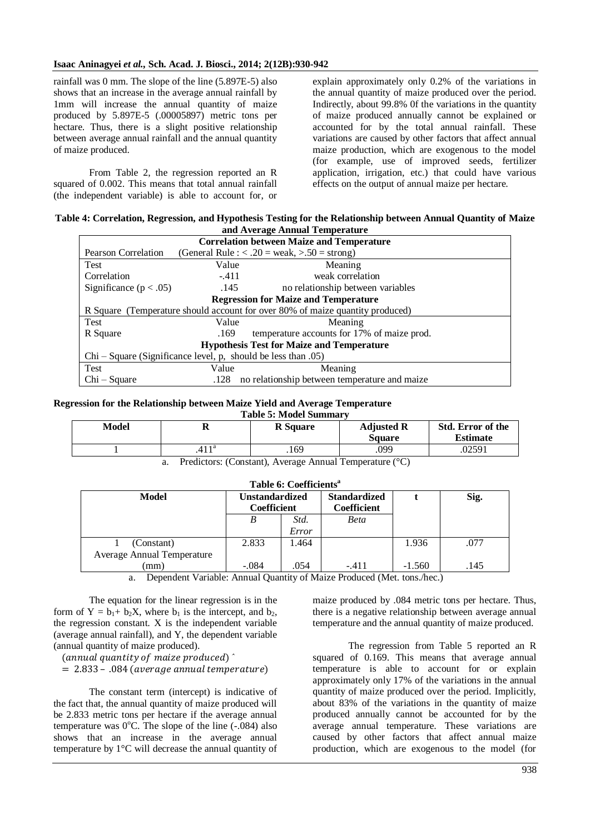rainfall was 0 mm. The slope of the line (5.897E-5) also shows that an increase in the average annual rainfall by 1mm will increase the annual quantity of maize produced by 5.897E-5 (.00005897) metric tons per hectare. Thus, there is a slight positive relationship between average annual rainfall and the annual quantity of maize produced.

From Table 2, the regression reported an R squared of 0.002. This means that total annual rainfall (the independent variable) is able to account for, or explain approximately only 0.2% of the variations in the annual quantity of maize produced over the period. Indirectly, about 99.8% 0f the variations in the quantity of maize produced annually cannot be explained or accounted for by the total annual rainfall. These variations are caused by other factors that affect annual maize production, which are exogenous to the model (for example, use of improved seeds, fertilizer application, irrigation, etc.) that could have various effects on the output of annual maize per hectare.

#### **Table 4: Correlation, Regression, and Hypothesis Testing for the Relationship between Annual Quantity of Maize and Average Annual Temperature**

| <b>Correlation between Maize and Temperature</b>                              |                                                   |                                               |  |  |  |
|-------------------------------------------------------------------------------|---------------------------------------------------|-----------------------------------------------|--|--|--|
| Pearson Correlation                                                           | (General Rule : $< .20$ = weak, $> .50$ = strong) |                                               |  |  |  |
| Test                                                                          | Value                                             | Meaning                                       |  |  |  |
| Correlation                                                                   | $-.411$                                           | weak correlation                              |  |  |  |
| Significance ( $p < .05$ )                                                    | .145                                              | no relationship between variables             |  |  |  |
| <b>Regression for Maize and Temperature</b>                                   |                                                   |                                               |  |  |  |
| R Square (Temperature should account for over 80% of maize quantity produced) |                                                   |                                               |  |  |  |
| Test                                                                          | Value                                             | Meaning                                       |  |  |  |
| R Square                                                                      | .169                                              | temperature accounts for 17% of maize prod.   |  |  |  |
| <b>Hypothesis Test for Maize and Temperature</b>                              |                                                   |                                               |  |  |  |
| $Chi-Square$ (Significance level, p, should be less than .05)                 |                                                   |                                               |  |  |  |
| <b>Test</b>                                                                   | Value                                             | Meaning                                       |  |  |  |
| $Chi-Square$                                                                  | .128                                              | no relationship between temperature and maize |  |  |  |

#### **Regression for the Relationship between Maize Yield and Average Temperature**

| <b>Table 5: Model Summary</b> |  |
|-------------------------------|--|
|-------------------------------|--|

| Model | D<br>u     | <b>R</b> Square | <b>Adjusted R</b><br><b>Square</b> | Std. Error of the<br>Estimate |
|-------|------------|-----------------|------------------------------------|-------------------------------|
|       | 11a<br>411 | .169            | .099                               | .02591                        |

a. Predictors: (Constant), Average Annual Temperature (°C)

| Table 6: Coefficients <sup>a</sup> |                                             |               |                                           |          |      |  |
|------------------------------------|---------------------------------------------|---------------|-------------------------------------------|----------|------|--|
| Model                              | <b>Unstandardized</b><br><b>Coefficient</b> |               | <b>Standardized</b><br><b>Coefficient</b> |          | Sig. |  |
|                                    | B                                           | Std.<br>Error | <b>Beta</b>                               |          |      |  |
| (Constant)                         | 2.833                                       | 1.464         |                                           | 1.936    | .077 |  |
| Average Annual Temperature<br>(mm  | $-.084$                                     | .054          | $-.411$                                   | $-1.560$ | .145 |  |

a. Dependent Variable: Annual Quantity of Maize Produced (Met. tons./hec.)

The equation for the linear regression is in the form of  $Y = b_1 + b_2X$ , where  $b_1$  is the intercept, and  $b_2$ , the regression constant. X is the independent variable (average annual rainfall), and Y, the dependent variable (annual quantity of maize produced).

 $(annual quantity of maize produced)$ <sup> $\hat{\ }$ </sup>  $= 2.833 - .084$  (average annual temperature)

The constant term (intercept) is indicative of the fact that, the annual quantity of maize produced will be 2.833 metric tons per hectare if the average annual temperature was  $0^{\circ}$ C. The slope of the line (-.084) also shows that an increase in the average annual temperature by 1°C will decrease the annual quantity of

maize produced by .084 metric tons per hectare. Thus, there is a negative relationship between average annual temperature and the annual quantity of maize produced.

The regression from Table 5 reported an R squared of 0.169. This means that average annual temperature is able to account for or explain approximately only 17% of the variations in the annual quantity of maize produced over the period. Implicitly, about 83% of the variations in the quantity of maize produced annually cannot be accounted for by the average annual temperature. These variations are caused by other factors that affect annual maize production, which are exogenous to the model (for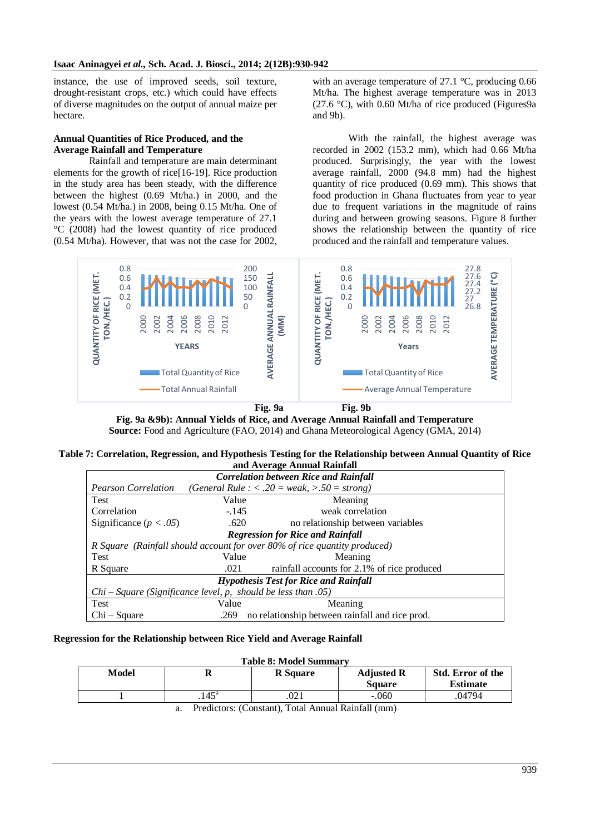instance, the use of improved seeds, soil texture, drought-resistant crops, etc.) which could have effects of diverse magnitudes on the output of annual maize per hectare.

### **Annual Quantities of Rice Produced, and the Average Rainfall and Temperature**

Rainfall and temperature are main determinant elements for the growth of rice[16-19]. Rice production in the study area has been steady, with the difference between the highest (0.69 Mt/ha.) in 2000, and the lowest (0.54 Mt/ha.) in 2008, being 0.15 Mt/ha. One of the years with the lowest average temperature of 27.1 °C (2008) had the lowest quantity of rice produced (0.54 Mt/ha). However, that was not the case for 2002,

with an average temperature of 27.1 °C, producing 0.66 Mt/ha. The highest average temperature was in 2013 (27.6 °C), with 0.60 Mt/ha of rice produced (Figures9a) and 9b).

With the rainfall, the highest average was recorded in 2002 (153.2 mm), which had 0.66 Mt/ha produced. Surprisingly, the year with the lowest average rainfall, 2000 (94.8 mm) had the highest quantity of rice produced (0.69 mm). This shows that food production in Ghana fluctuates from year to year due to frequent variations in the magnitude of rains during and between growing seasons. Figure 8 further shows the relationship between the quantity of rice produced and the rainfall and temperature values.



**Fig. 9a Fig. 9b**

**Fig. 9a &9b): Annual Yields of Rice, and Average Annual Rainfall and Temperature**

**Source:** Food and Agriculture (FAO, 2014) and Ghana Meteorological Agency (GMA, 2014)

### **Table 7: Correlation, Regression, and Hypothesis Testing for the Relationship between Annual Quantity of Rice and Average Annual Rainfall**

| <u>ana : 1 , et age : miniam Tummum</u>                       |                                              |                                                                               |  |  |  |
|---------------------------------------------------------------|----------------------------------------------|-------------------------------------------------------------------------------|--|--|--|
| <b>Correlation between Rice and Rainfall</b>                  |                                              |                                                                               |  |  |  |
| <b>Pearson Correlation</b>                                    |                                              | (General Rule : $\langle .20 \rangle$ = weak, $\langle .50 \rangle$ = strong) |  |  |  |
| <b>Test</b>                                                   | Value                                        | Meaning                                                                       |  |  |  |
| Correlation                                                   | $-.145$                                      | weak correlation                                                              |  |  |  |
| Significance ( $p < .05$ )                                    | .620                                         | no relationship between variables                                             |  |  |  |
|                                                               | <b>Regression for Rice and Rainfall</b>      |                                                                               |  |  |  |
|                                                               |                                              | R Square (Rainfall should account for over 80% of rice quantity produced)     |  |  |  |
| <b>Test</b>                                                   | Value                                        | Meaning                                                                       |  |  |  |
| R Square                                                      | .021                                         | rainfall accounts for 2.1% of rice produced                                   |  |  |  |
|                                                               | <b>Hypothesis Test for Rice and Rainfall</b> |                                                                               |  |  |  |
| $Chi-Square$ (Significance level, p, should be less than .05) |                                              |                                                                               |  |  |  |
| Test                                                          | Value                                        | Meaning                                                                       |  |  |  |
| $Chi-Square$                                                  | .269                                         | no relationship between rainfall and rice prod.                               |  |  |  |

## **Regression for the Relationship between Rice Yield and Average Rainfall**

#### **Table 8: Model Summary Model R R Square Adjusted R Square Std. Error of the Estimate**  $1 \quad 145^{\circ}$ .021 -.060 .04794

a. Predictors: (Constant), Total Annual Rainfall (mm)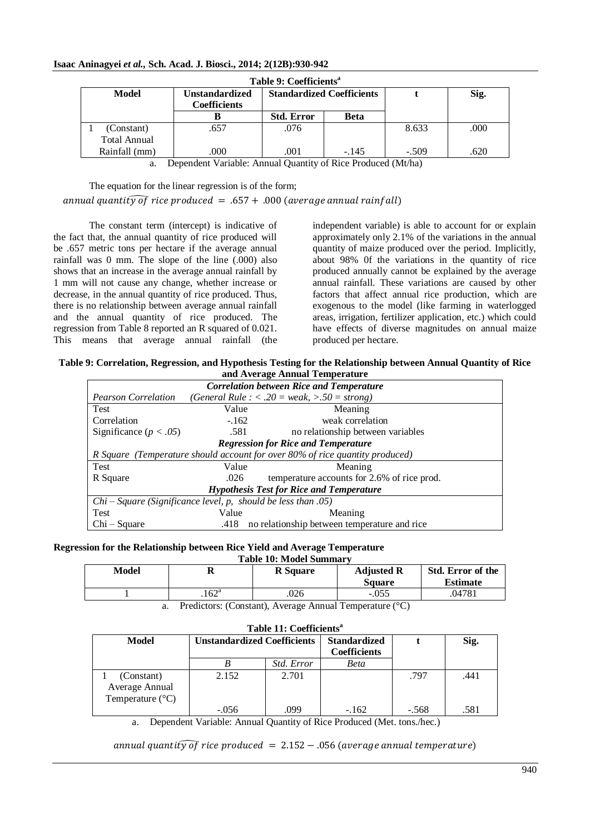## **Isaac Aninagyei** *et al.,* **Sch. Acad. J. Biosci., 2014; 2(12B):930-942**

| Table 9: Coefficients <sup>a</sup> |                                              |                                  |             |         |      |  |
|------------------------------------|----------------------------------------------|----------------------------------|-------------|---------|------|--|
| Model                              | <b>Unstandardized</b><br><b>Coefficients</b> | <b>Standardized Coefficients</b> |             |         | Sig. |  |
|                                    |                                              | <b>Std. Error</b>                | <b>Beta</b> |         |      |  |
| (Constant)                         | .657                                         | .076                             |             | 8.633   | .000 |  |
| <b>Total Annual</b>                |                                              |                                  |             |         |      |  |
| Rainfall (mm)                      | .000                                         | .001                             | $-.145$     | $-.509$ | .620 |  |

a. Dependent Variable: Annual Quantity of Rice Produced (Mt/ha)

The equation for the linear regression is of the form; annual quantity of rice produced = .657 + .000 (average annual rainfall)

The constant term (intercept) is indicative of the fact that, the annual quantity of rice produced will be .657 metric tons per hectare if the average annual rainfall was 0 mm. The slope of the line (.000) also shows that an increase in the average annual rainfall by 1 mm will not cause any change, whether increase or decrease, in the annual quantity of rice produced. Thus, there is no relationship between average annual rainfall and the annual quantity of rice produced. The regression from Table 8 reported an R squared of 0.021. This means that average annual rainfall (the independent variable) is able to account for or explain approximately only 2.1% of the variations in the annual quantity of maize produced over the period. Implicitly, about 98% 0f the variations in the quantity of rice produced annually cannot be explained by the average annual rainfall. These variations are caused by other factors that affect annual rice production, which are exogenous to the model (like farming in waterlogged areas, irrigation, fertilizer application, etc.) which could have effects of diverse magnitudes on annual maize produced per hectare.

| Table 9: Correlation, Regression, and Hypothesis Testing for the Relationship between Annual Quantity of Rice |  |
|---------------------------------------------------------------------------------------------------------------|--|
| and Average Annual Temperature                                                                                |  |

| <b>Correlation between Rice and Temperature</b>               |        |                                                                              |  |  |
|---------------------------------------------------------------|--------|------------------------------------------------------------------------------|--|--|
| <b>Pearson Correlation</b>                                    |        | (General Rule : < .20 = weak, >.50 = strong)                                 |  |  |
| Test                                                          | Value  | Meaning                                                                      |  |  |
| Correlation                                                   | $-162$ | weak correlation                                                             |  |  |
| Significance ( $p < .05$ )                                    | .581   | no relationship between variables                                            |  |  |
|                                                               |        | <b>Regression for Rice and Temperature</b>                                   |  |  |
|                                                               |        | R Square (Temperature should account for over 80% of rice quantity produced) |  |  |
| <b>Test</b>                                                   | Value  | Meaning                                                                      |  |  |
| R Square                                                      | .026   | temperature accounts for 2.6% of rice prod.                                  |  |  |
| <b>Hypothesis Test for Rice and Temperature</b>               |        |                                                                              |  |  |
| $Chi-Square$ (Significance level, p, should be less than .05) |        |                                                                              |  |  |
| Test                                                          | Value  | Meaning                                                                      |  |  |
| $Chi-Square$                                                  | .418   | no relationship between temperature and rice                                 |  |  |

### **Regression for the Relationship between Rice Yield and Average Temperature**

Average Annual Temperature (°C) **Table 10: Model Summary**

| Model | л              | <b>R</b> Square | <b>Adjusted R</b> | Std. Error of the |
|-------|----------------|-----------------|-------------------|-------------------|
|       |                |                 | <b>Square</b>     | <b>Estimate</b>   |
|       | $.162^{\rm a}$ | .026            | $-.055$           | .04781            |

a. Predictors: (Constant), Average Annual Temperature (°C)

| Table 11: Coefficients <sup>a</sup> |                                    |                   |                                            |     |  |  |
|-------------------------------------|------------------------------------|-------------------|--------------------------------------------|-----|--|--|
| Model                               | <b>Unstandardized Coefficients</b> |                   | <b>Standardized</b><br><b>Coefficients</b> |     |  |  |
|                                     |                                    | <i>Std. Error</i> | <b>Beta</b>                                |     |  |  |
| (Constant)                          | 2.152                              | 2.701             |                                            | 797 |  |  |

-.056 162 -.162 - 568

a. Dependent Variable: Annual Quantity of Rice Produced (Met. tons./hec.)

 $annual$  quantity of rice produced = 2.152 – .056 (average annual temperature)

**t Sig.**

.441

.581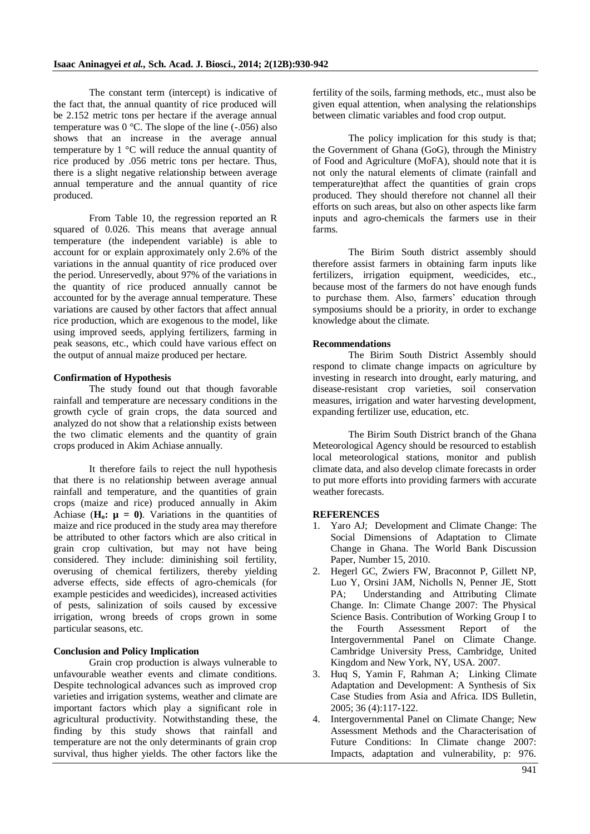The constant term (intercept) is indicative of the fact that, the annual quantity of rice produced will be 2.152 metric tons per hectare if the average annual temperature was  $0^{\circ}$ C. The slope of the line ( $-0.056$ ) also shows that an increase in the average annual temperature by 1 °C will reduce the annual quantity of rice produced by .056 metric tons per hectare. Thus, there is a slight negative relationship between average annual temperature and the annual quantity of rice produced.

From Table 10, the regression reported an R squared of 0.026. This means that average annual temperature (the independent variable) is able to account for or explain approximately only 2.6% of the variations in the annual quantity of rice produced over the period. Unreservedly, about 97% of the variations in the quantity of rice produced annually cannot be accounted for by the average annual temperature. These variations are caused by other factors that affect annual rice production, which are exogenous to the model, like using improved seeds, applying fertilizers, farming in peak seasons, etc., which could have various effect on the output of annual maize produced per hectare.

#### **Confirmation of Hypothesis**

The study found out that though favorable rainfall and temperature are necessary conditions in the growth cycle of grain crops, the data sourced and analyzed do not show that a relationship exists between the two climatic elements and the quantity of grain crops produced in Akim Achiase annually.

It therefore fails to reject the null hypothesis that there is no relationship between average annual rainfall and temperature, and the quantities of grain crops (maize and rice) produced annually in Akim Achiase  $(\mathbf{H}_0: \mathbf{\mu} = \mathbf{0})$ . Variations in the quantities of maize and rice produced in the study area may therefore be attributed to other factors which are also critical in grain crop cultivation, but may not have being considered. They include: diminishing soil fertility, overusing of chemical fertilizers, thereby yielding adverse effects, side effects of agro-chemicals (for example pesticides and weedicides), increased activities of pests, salinization of soils caused by excessive irrigation, wrong breeds of crops grown in some particular seasons, etc.

#### **Conclusion and Policy Implication**

Grain crop production is always vulnerable to unfavourable weather events and climate conditions. Despite technological advances such as improved crop varieties and irrigation systems, weather and climate are important factors which play a significant role in agricultural productivity. Notwithstanding these, the finding by this study shows that rainfall and temperature are not the only determinants of grain crop survival, thus higher yields. The other factors like the fertility of the soils, farming methods, etc., must also be given equal attention, when analysing the relationships between climatic variables and food crop output.

The policy implication for this study is that; the Government of Ghana (GoG), through the Ministry of Food and Agriculture (MoFA), should note that it is not only the natural elements of climate (rainfall and temperature)that affect the quantities of grain crops produced. They should therefore not channel all their efforts on such areas, but also on other aspects like farm inputs and agro-chemicals the farmers use in their farms.

The Birim South district assembly should therefore assist farmers in obtaining farm inputs like fertilizers, irrigation equipment, weedicides, etc., because most of the farmers do not have enough funds to purchase them. Also, farmers' education through symposiums should be a priority, in order to exchange knowledge about the climate.

#### **Recommendations**

The Birim South District Assembly should respond to climate change impacts on agriculture by investing in research into drought, early maturing, and disease-resistant crop varieties, soil conservation measures, irrigation and water harvesting development, expanding fertilizer use, education, etc.

The Birim South District branch of the Ghana Meteorological Agency should be resourced to establish local meteorological stations, monitor and publish climate data, and also develop climate forecasts in order to put more efforts into providing farmers with accurate weather forecasts.

#### **REFERENCES**

- 1. Yaro AJ; Development and Climate Change: The Social Dimensions of Adaptation to Climate Change in Ghana. The World Bank Discussion Paper, Number 15, 2010.
- 2. Hegerl GC, Zwiers FW, Braconnot P, Gillett NP, Luo Y, Orsini JAM, Nicholls N, Penner JE, Stott PA; Understanding and Attributing Climate Change. In: Climate Change 2007: The Physical Science Basis. Contribution of Working Group I to the Fourth Assessment Report of the Intergovernmental Panel on Climate Change. Cambridge University Press, Cambridge, United Kingdom and New York, NY, USA. 2007.
- 3. Huq S, Yamin F, Rahman A; Linking Climate Adaptation and Development: A Synthesis of Six Case Studies from Asia and Africa. IDS Bulletin, 2005; 36 (4):117-122.
- 4. Intergovernmental Panel on Climate Change; New Assessment Methods and the Characterisation of Future Conditions: In Climate change 2007: Impacts, adaptation and vulnerability, p: 976.